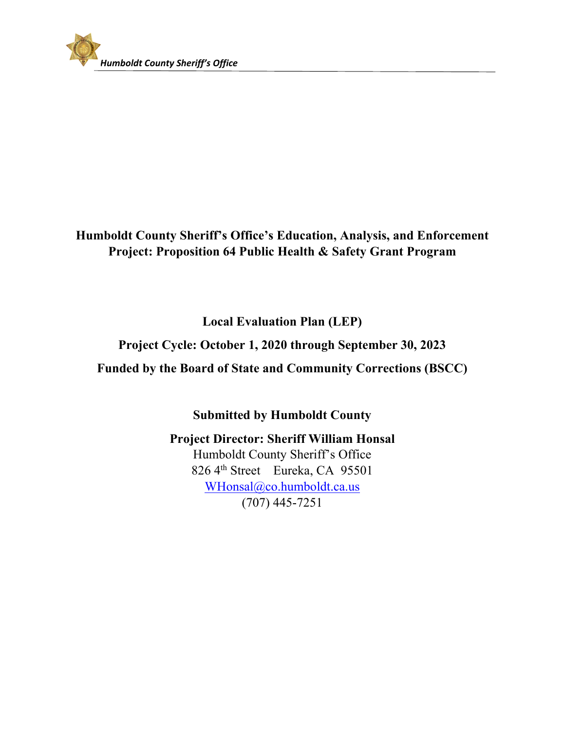

### **Humboldt County Sheriff's Office's Education, Analysis, and Enforcement Project: Proposition 64 Public Health & Safety Grant Program**

**Local Evaluation Plan (LEP)** 

**Project Cycle: October 1, 2020 through September 30, 2023** 

**Funded by the Board of State and Community Corrections (BSCC)** 

**Submitted by Humboldt County** 

**Project Director: Sheriff William Honsal**  Humboldt County Sheriff's Office 826 4th Street Eureka, CA 95501 WHonsal@co.humboldt.ca.us (707) 445-7251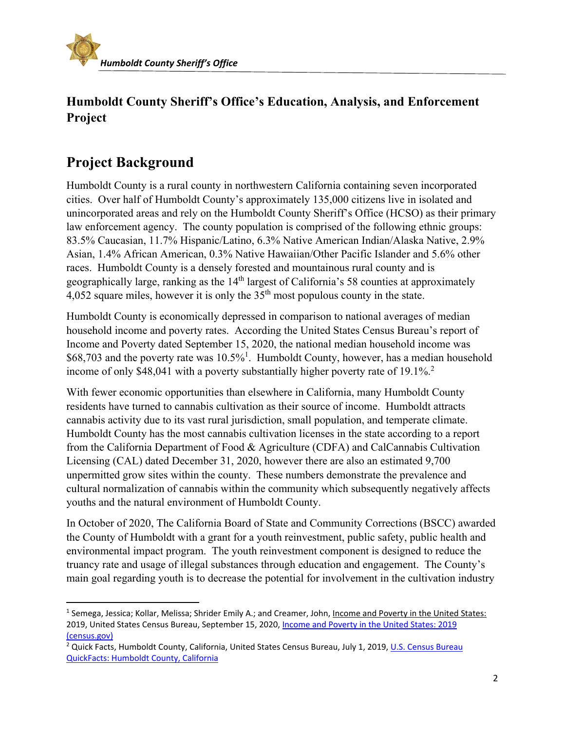

### **Humboldt County Sheriff's Office's Education, Analysis, and Enforcement Project**

## **Project Background**

Humboldt County is a rural county in northwestern California containing seven incorporated cities. Over half of Humboldt County's approximately 135,000 citizens live in isolated and unincorporated areas and rely on the Humboldt County Sheriff's Office (HCSO) as their primary law enforcement agency. The county population is comprised of the following ethnic groups: 83.5% Caucasian, 11.7% Hispanic/Latino, 6.3% Native American Indian/Alaska Native, 2.9% Asian, 1.4% African American, 0.3% Native Hawaiian/Other Pacific Islander and 5.6% other races. Humboldt County is a densely forested and mountainous rural county and is geographically large, ranking as the  $14<sup>th</sup>$  largest of California's 58 counties at approximately 4,052 square miles, however it is only the  $35<sup>th</sup>$  most populous county in the state.

Humboldt County is economically depressed in comparison to national averages of median household income and poverty rates. According the United States Census Bureau's report of Income and Poverty dated September 15, 2020, the national median household income was  $$68,703$  and the poverty rate was  $10.5\%$ <sup>1</sup>. Humboldt County, however, has a median household income of only \$48,041 with a poverty substantially higher poverty rate of  $19.1\%$ <sup>2</sup>

With fewer economic opportunities than elsewhere in California, many Humboldt County residents have turned to cannabis cultivation as their source of income. Humboldt attracts cannabis activity due to its vast rural jurisdiction, small population, and temperate climate. Humboldt County has the most cannabis cultivation licenses in the state according to a report from the California Department of Food & Agriculture (CDFA) and CalCannabis Cultivation Licensing (CAL) dated December 31, 2020, however there are also an estimated 9,700 unpermitted grow sites within the county. These numbers demonstrate the prevalence and cultural normalization of cannabis within the community which subsequently negatively affects youths and the natural environment of Humboldt County.

In October of 2020, The California Board of State and Community Corrections (BSCC) awarded the County of Humboldt with a grant for a youth reinvestment, public safety, public health and environmental impact program. The youth reinvestment component is designed to reduce the truancy rate and usage of illegal substances through education and engagement. The County's main goal regarding youth is to decrease the potential for involvement in the cultivation industry

<sup>&</sup>lt;sup>1</sup> Semega, Jessica; Kollar, Melissa; Shrider Emily A.; and Creamer, John, Income and Poverty in the United States: 2019, United States Census Bureau, September 15, 2020, Income and Poverty in the United States: 2019 (census.gov)

<sup>&</sup>lt;sup>2</sup> Quick Facts, Humboldt County, California, United States Census Bureau, July 1, 2019, U.S. Census Bureau QuickFacts: Humboldt County, California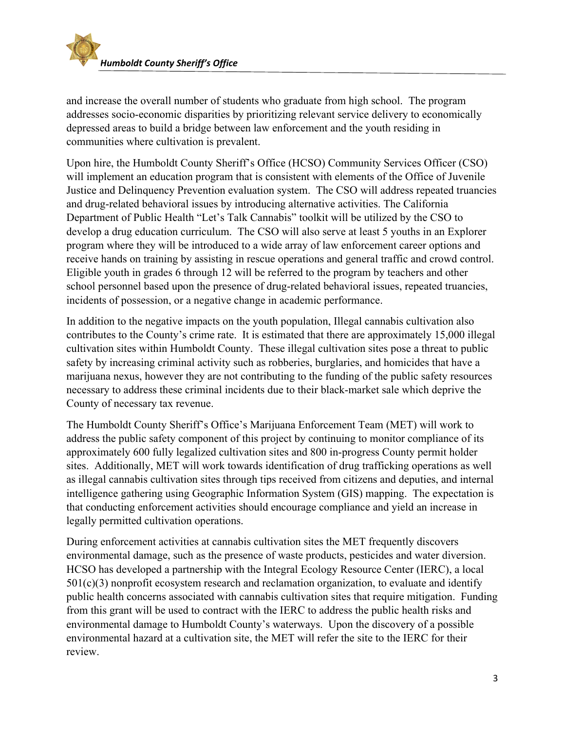

and increase the overall number of students who graduate from high school. The program addresses socio-economic disparities by prioritizing relevant service delivery to economically depressed areas to build a bridge between law enforcement and the youth residing in communities where cultivation is prevalent.

Upon hire, the Humboldt County Sheriff's Office (HCSO) Community Services Officer (CSO) will implement an education program that is consistent with elements of the Office of Juvenile Justice and Delinquency Prevention evaluation system. The CSO will address repeated truancies and drug-related behavioral issues by introducing alternative activities. The California Department of Public Health "Let's Talk Cannabis" toolkit will be utilized by the CSO to develop a drug education curriculum. The CSO will also serve at least 5 youths in an Explorer program where they will be introduced to a wide array of law enforcement career options and receive hands on training by assisting in rescue operations and general traffic and crowd control. Eligible youth in grades 6 through 12 will be referred to the program by teachers and other school personnel based upon the presence of drug-related behavioral issues, repeated truancies, incidents of possession, or a negative change in academic performance.

In addition to the negative impacts on the youth population, Illegal cannabis cultivation also contributes to the County's crime rate. It is estimated that there are approximately 15,000 illegal cultivation sites within Humboldt County. These illegal cultivation sites pose a threat to public safety by increasing criminal activity such as robberies, burglaries, and homicides that have a marijuana nexus, however they are not contributing to the funding of the public safety resources necessary to address these criminal incidents due to their black-market sale which deprive the County of necessary tax revenue.

The Humboldt County Sheriff's Office's Marijuana Enforcement Team (MET) will work to address the public safety component of this project by continuing to monitor compliance of its approximately 600 fully legalized cultivation sites and 800 in-progress County permit holder sites. Additionally, MET will work towards identification of drug trafficking operations as well as illegal cannabis cultivation sites through tips received from citizens and deputies, and internal intelligence gathering using Geographic Information System (GIS) mapping. The expectation is that conducting enforcement activities should encourage compliance and yield an increase in legally permitted cultivation operations.

During enforcement activities at cannabis cultivation sites the MET frequently discovers environmental damage, such as the presence of waste products, pesticides and water diversion. HCSO has developed a partnership with the Integral Ecology Resource Center (IERC), a local  $501(c)(3)$  nonprofit ecosystem research and reclamation organization, to evaluate and identify public health concerns associated with cannabis cultivation sites that require mitigation. Funding from this grant will be used to contract with the IERC to address the public health risks and environmental damage to Humboldt County's waterways. Upon the discovery of a possible environmental hazard at a cultivation site, the MET will refer the site to the IERC for their review.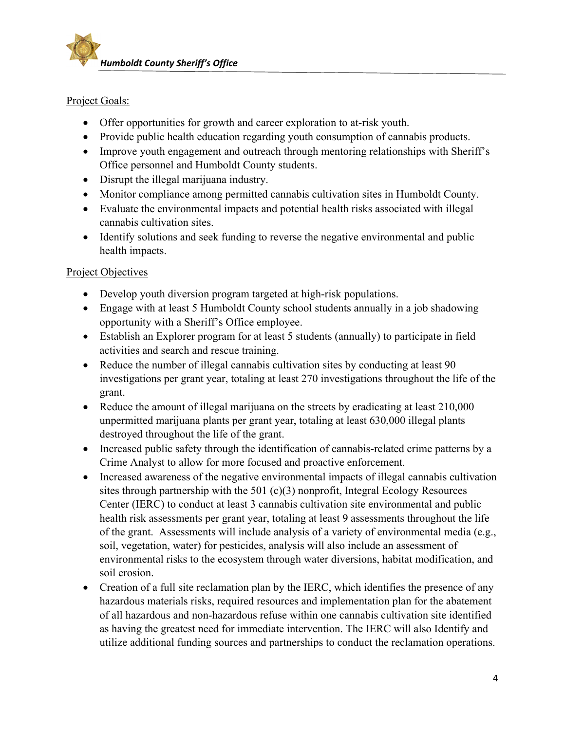

#### Project Goals:

- Offer opportunities for growth and career exploration to at-risk youth.
- Provide public health education regarding youth consumption of cannabis products.
- Improve youth engagement and outreach through mentoring relationships with Sheriff's Office personnel and Humboldt County students.
- Disrupt the illegal marijuana industry.
- Monitor compliance among permitted cannabis cultivation sites in Humboldt County.
- Evaluate the environmental impacts and potential health risks associated with illegal cannabis cultivation sites.
- Identify solutions and seek funding to reverse the negative environmental and public health impacts.

#### Project Objectives

- Develop youth diversion program targeted at high-risk populations.
- Engage with at least 5 Humboldt County school students annually in a job shadowing opportunity with a Sheriff's Office employee.
- Establish an Explorer program for at least 5 students (annually) to participate in field activities and search and rescue training.
- Reduce the number of illegal cannabis cultivation sites by conducting at least 90 investigations per grant year, totaling at least 270 investigations throughout the life of the grant.
- Reduce the amount of illegal marijuana on the streets by eradicating at least 210,000 unpermitted marijuana plants per grant year, totaling at least 630,000 illegal plants destroyed throughout the life of the grant.
- Increased public safety through the identification of cannabis-related crime patterns by a Crime Analyst to allow for more focused and proactive enforcement.
- Increased awareness of the negative environmental impacts of illegal cannabis cultivation sites through partnership with the 501 (c)(3) nonprofit, Integral Ecology Resources Center (IERC) to conduct at least 3 cannabis cultivation site environmental and public health risk assessments per grant year, totaling at least 9 assessments throughout the life of the grant. Assessments will include analysis of a variety of environmental media (e.g., soil, vegetation, water) for pesticides, analysis will also include an assessment of environmental risks to the ecosystem through water diversions, habitat modification, and soil erosion.
- Creation of a full site reclamation plan by the IERC, which identifies the presence of any hazardous materials risks, required resources and implementation plan for the abatement of all hazardous and non-hazardous refuse within one cannabis cultivation site identified as having the greatest need for immediate intervention. The IERC will also Identify and utilize additional funding sources and partnerships to conduct the reclamation operations.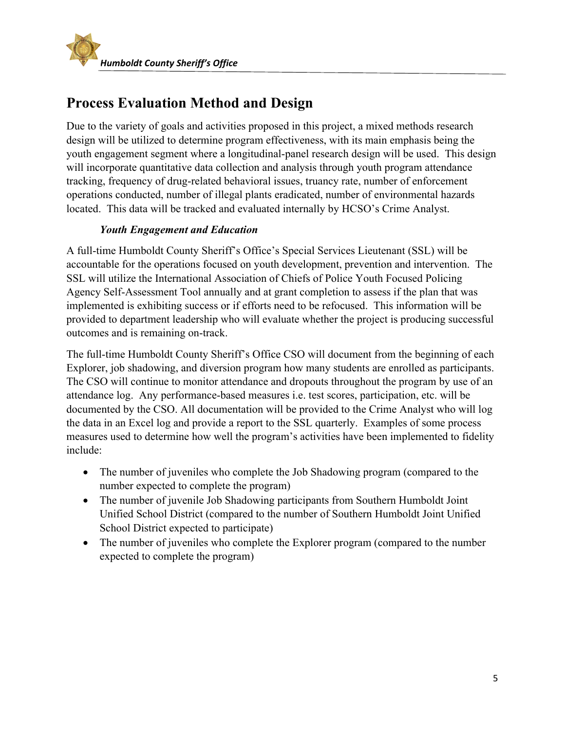

# **Process Evaluation Method and Design**

Due to the variety of goals and activities proposed in this project, a mixed methods research design will be utilized to determine program effectiveness, with its main emphasis being the youth engagement segment where a longitudinal-panel research design will be used. This design will incorporate quantitative data collection and analysis through youth program attendance tracking, frequency of drug-related behavioral issues, truancy rate, number of enforcement operations conducted, number of illegal plants eradicated, number of environmental hazards located. This data will be tracked and evaluated internally by HCSO's Crime Analyst.

#### *Youth Engagement and Education*

A full-time Humboldt County Sheriff's Office's Special Services Lieutenant (SSL) will be accountable for the operations focused on youth development, prevention and intervention. The SSL will utilize the International Association of Chiefs of Police Youth Focused Policing Agency Self-Assessment Tool annually and at grant completion to assess if the plan that was implemented is exhibiting success or if efforts need to be refocused. This information will be provided to department leadership who will evaluate whether the project is producing successful outcomes and is remaining on-track.

The full-time Humboldt County Sheriff's Office CSO will document from the beginning of each Explorer, job shadowing, and diversion program how many students are enrolled as participants. The CSO will continue to monitor attendance and dropouts throughout the program by use of an attendance log. Any performance-based measures i.e. test scores, participation, etc. will be documented by the CSO. All documentation will be provided to the Crime Analyst who will log the data in an Excel log and provide a report to the SSL quarterly. Examples of some process measures used to determine how well the program's activities have been implemented to fidelity include:

- The number of juveniles who complete the Job Shadowing program (compared to the number expected to complete the program)
- The number of juvenile Job Shadowing participants from Southern Humboldt Joint Unified School District (compared to the number of Southern Humboldt Joint Unified School District expected to participate)
- The number of juveniles who complete the Explorer program (compared to the number expected to complete the program)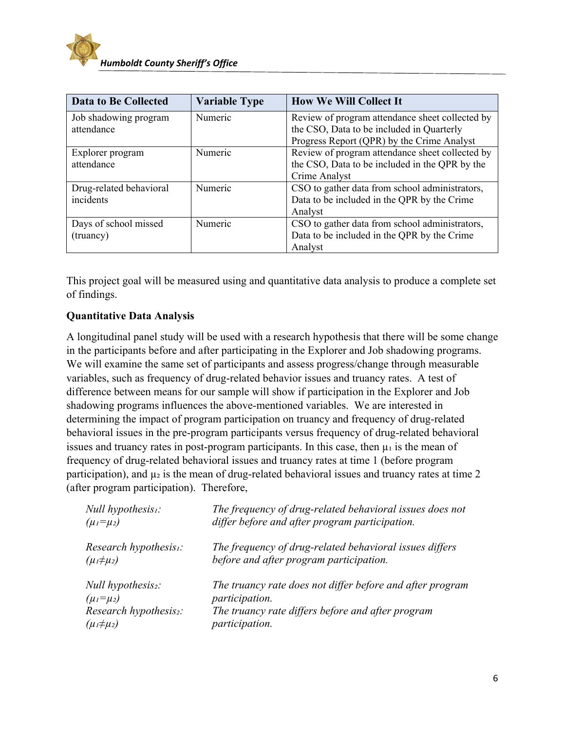

| <b>Data to Be Collected</b> | <b>Variable Type</b> | <b>How We Will Collect It</b>                   |
|-----------------------------|----------------------|-------------------------------------------------|
| Job shadowing program       | Numeric              | Review of program attendance sheet collected by |
| attendance                  |                      | the CSO, Data to be included in Quarterly       |
|                             |                      | Progress Report (QPR) by the Crime Analyst      |
| Explorer program            | Numeric              | Review of program attendance sheet collected by |
| attendance                  |                      | the CSO, Data to be included in the QPR by the  |
|                             |                      | Crime Analyst                                   |
| Drug-related behavioral     | Numeric              | CSO to gather data from school administrators,  |
| incidents                   |                      | Data to be included in the QPR by the Crime     |
|                             |                      | Analyst                                         |
| Days of school missed       | Numeric              | CSO to gather data from school administrators,  |
| (truancy)                   |                      | Data to be included in the QPR by the Crime     |
|                             |                      | Analyst                                         |

This project goal will be measured using and quantitative data analysis to produce a complete set of findings.

#### **Quantitative Data Analysis**

A longitudinal panel study will be used with a research hypothesis that there will be some change in the participants before and after participating in the Explorer and Job shadowing programs. We will examine the same set of participants and assess progress/change through measurable variables, such as frequency of drug-related behavior issues and truancy rates. A test of difference between means for our sample will show if participation in the Explorer and Job shadowing programs influences the above-mentioned variables. We are interested in determining the impact of program participation on truancy and frequency of drug-related behavioral issues in the pre-program participants versus frequency of drug-related behavioral issues and truancy rates in post-program participants. In this case, then  $\mu_1$  is the mean of frequency of drug-related behavioral issues and truancy rates at time 1 (before program participation), and  $\mu_2$  is the mean of drug-related behavioral issues and truancy rates at time 2 (after program participation). Therefore,

| Null hypothesis <sub>1</sub> :     | The frequency of drug-related behavioral issues does not  |
|------------------------------------|-----------------------------------------------------------|
| $(\mu_1 = \mu_2)$                  | differ before and after program participation.            |
| Research hypothesis <sub>1</sub> : | The frequency of drug-related behavioral issues differs   |
| $(\mu_1 \neq \mu_2)$               | before and after program participation.                   |
| Null hypothesis <sub>2</sub> :     | The truancy rate does not differ before and after program |
| $(\mu_1 = \mu_2)$                  | participation.                                            |
| Research hypothesis <sub>2</sub> : | The truancy rate differs before and after program         |
| $(\mu_1 \neq \mu_2)$               | participation.                                            |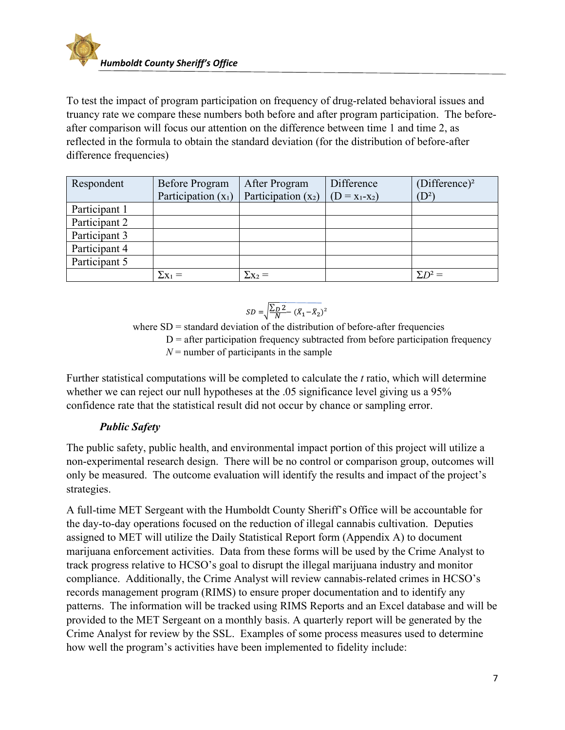

To test the impact of program participation on frequency of drug-related behavioral issues and truancy rate we compare these numbers both before and after program participation. The beforeafter comparison will focus our attention on the difference between time 1 and time 2, as reflected in the formula to obtain the standard deviation (for the distribution of before-after difference frequencies)

| Respondent    | Before Program        | After Program         | Difference        | (Difference) <sup>2</sup> |
|---------------|-----------------------|-----------------------|-------------------|---------------------------|
|               | Participation $(x_1)$ | Participation $(x_2)$ | $(D = X_1 - X_2)$ | $(D^2)$                   |
| Participant 1 |                       |                       |                   |                           |
| Participant 2 |                       |                       |                   |                           |
| Participant 3 |                       |                       |                   |                           |
| Participant 4 |                       |                       |                   |                           |
| Participant 5 |                       |                       |                   |                           |
|               |                       | $\Sigma$ X2 =         |                   | $\Sigma D^2 =$            |

$$
SD = \sqrt{\frac{\sum_{D} 2}{N} - (\bar{X}_1 - \bar{X}_2)^2}
$$

where  $SD =$  standard deviation of the distribution of before-after frequencies  $D =$  after participation frequency subtracted from before participation frequency  $N =$  number of participants in the sample

Further statistical computations will be completed to calculate the *t* ratio, which will determine whether we can reject our null hypotheses at the .05 significance level giving us a 95% confidence rate that the statistical result did not occur by chance or sampling error.

#### *Public Safety*

The public safety, public health, and environmental impact portion of this project will utilize a non-experimental research design. There will be no control or comparison group, outcomes will only be measured. The outcome evaluation will identify the results and impact of the project's strategies.

A full-time MET Sergeant with the Humboldt County Sheriff's Office will be accountable for the day-to-day operations focused on the reduction of illegal cannabis cultivation. Deputies assigned to MET will utilize the Daily Statistical Report form (Appendix A) to document marijuana enforcement activities. Data from these forms will be used by the Crime Analyst to track progress relative to HCSO's goal to disrupt the illegal marijuana industry and monitor compliance. Additionally, the Crime Analyst will review cannabis-related crimes in HCSO's records management program (RIMS) to ensure proper documentation and to identify any patterns. The information will be tracked using RIMS Reports and an Excel database and will be provided to the MET Sergeant on a monthly basis. A quarterly report will be generated by the Crime Analyst for review by the SSL. Examples of some process measures used to determine how well the program's activities have been implemented to fidelity include: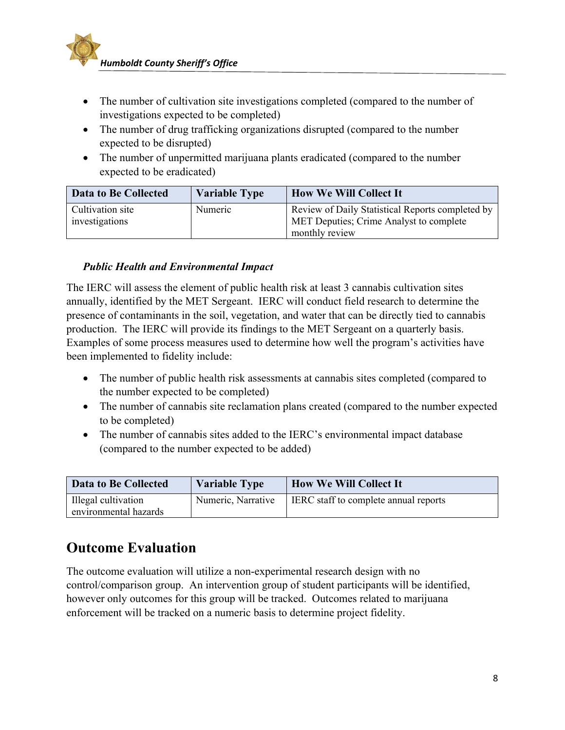

- The number of cultivation site investigations completed (compared to the number of investigations expected to be completed)
- The number of drug trafficking organizations disrupted (compared to the number expected to be disrupted)
- The number of unpermitted marijuana plants eradicated (compared to the number expected to be eradicated)

| <b>Data to Be Collected</b>        | <b>Variable Type</b> | <b>How We Will Collect It</b>                                                                                 |
|------------------------------------|----------------------|---------------------------------------------------------------------------------------------------------------|
| Cultivation site<br>investigations | Numeric              | Review of Daily Statistical Reports completed by<br>MET Deputies; Crime Analyst to complete<br>monthly review |

#### *Public Health and Environmental Impact*

The IERC will assess the element of public health risk at least 3 cannabis cultivation sites annually, identified by the MET Sergeant. IERC will conduct field research to determine the presence of contaminants in the soil, vegetation, and water that can be directly tied to cannabis production. The IERC will provide its findings to the MET Sergeant on a quarterly basis. Examples of some process measures used to determine how well the program's activities have been implemented to fidelity include:

- The number of public health risk assessments at cannabis sites completed (compared to the number expected to be completed)
- The number of cannabis site reclamation plans created (compared to the number expected to be completed)
- The number of cannabis sites added to the IERC's environmental impact database (compared to the number expected to be added)

| <b>Data to Be Collected</b>                  | <b>Variable Type</b> | <b>How We Will Collect It</b>                |
|----------------------------------------------|----------------------|----------------------------------------------|
| Illegal cultivation<br>environmental hazards | Numeric, Narrative   | <b>IERC</b> staff to complete annual reports |

## **Outcome Evaluation**

The outcome evaluation will utilize a non-experimental research design with no control/comparison group. An intervention group of student participants will be identified, however only outcomes for this group will be tracked. Outcomes related to marijuana enforcement will be tracked on a numeric basis to determine project fidelity.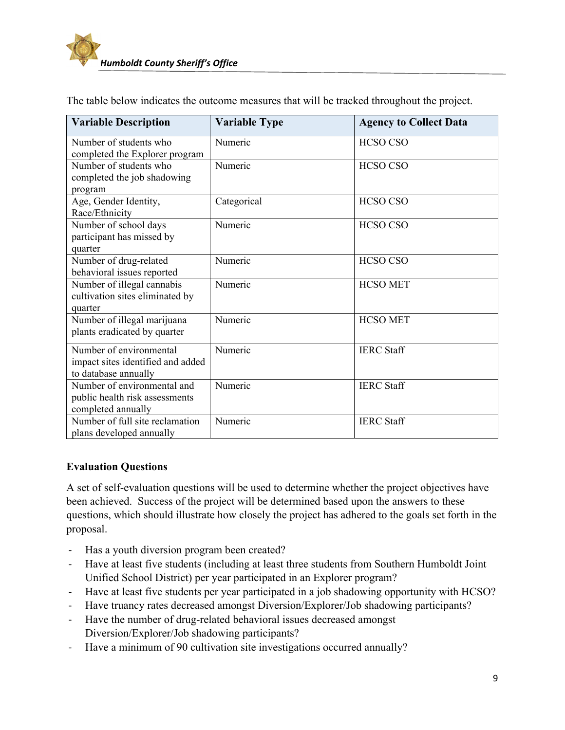| <b>Variable Description</b>                              | <b>Variable Type</b> | <b>Agency to Collect Data</b> |
|----------------------------------------------------------|----------------------|-------------------------------|
| Number of students who                                   | Numeric              | <b>HCSO CSO</b>               |
| completed the Explorer program<br>Number of students who | Numeric              | <b>HCSO CSO</b>               |
| completed the job shadowing                              |                      |                               |
| program                                                  |                      |                               |
| Age, Gender Identity,                                    | Categorical          | <b>HCSO CSO</b>               |
| Race/Ethnicity                                           |                      |                               |
| Number of school days                                    | Numeric              | <b>HCSO CSO</b>               |
| participant has missed by                                |                      |                               |
| quarter                                                  |                      |                               |
| Number of drug-related                                   | Numeric              | <b>HCSO CSO</b>               |
| behavioral issues reported                               |                      |                               |
| Number of illegal cannabis                               | Numeric              | <b>HCSO MET</b>               |
| cultivation sites eliminated by                          |                      |                               |
| quarter                                                  |                      |                               |
| Number of illegal marijuana                              | Numeric              | <b>HCSO MET</b>               |
| plants eradicated by quarter                             |                      |                               |
| Number of environmental                                  | Numeric              | <b>IERC</b> Staff             |
| impact sites identified and added                        |                      |                               |
| to database annually                                     |                      |                               |
| Number of environmental and                              | Numeric              | <b>IERC</b> Staff             |
| public health risk assessments                           |                      |                               |
| completed annually                                       |                      |                               |
| Number of full site reclamation                          | Numeric              | <b>IERC</b> Staff             |
| plans developed annually                                 |                      |                               |

The table below indicates the outcome measures that will be tracked throughout the project.

#### **Evaluation Questions**

A set of self-evaluation questions will be used to determine whether the project objectives have been achieved. Success of the project will be determined based upon the answers to these questions, which should illustrate how closely the project has adhered to the goals set forth in the proposal.

- ‐ Has a youth diversion program been created?
- ‐ Have at least five students (including at least three students from Southern Humboldt Joint Unified School District) per year participated in an Explorer program?
- ‐ Have at least five students per year participated in a job shadowing opportunity with HCSO?
- ‐ Have truancy rates decreased amongst Diversion/Explorer/Job shadowing participants?
- ‐ Have the number of drug-related behavioral issues decreased amongst Diversion/Explorer/Job shadowing participants?
- ‐ Have a minimum of 90 cultivation site investigations occurred annually?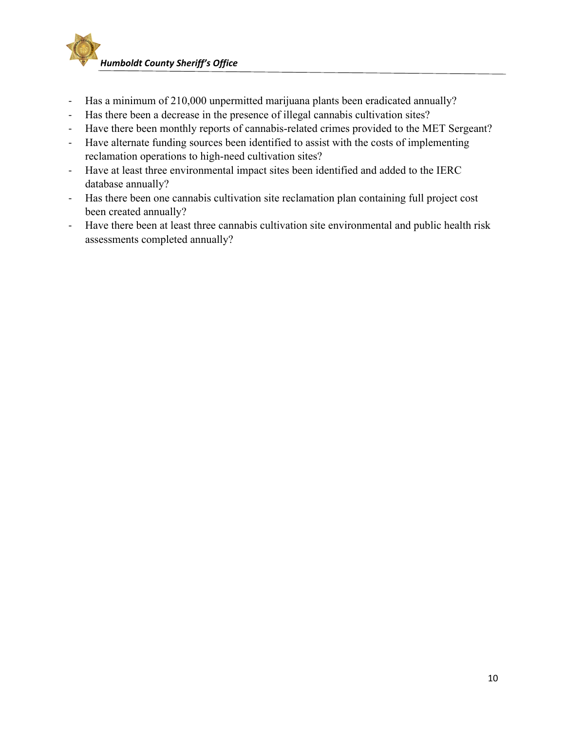

- ‐ Has a minimum of 210,000 unpermitted marijuana plants been eradicated annually?
- ‐ Has there been a decrease in the presence of illegal cannabis cultivation sites?
- ‐ Have there been monthly reports of cannabis-related crimes provided to the MET Sergeant?
- ‐ Have alternate funding sources been identified to assist with the costs of implementing reclamation operations to high-need cultivation sites?
- ‐ Have at least three environmental impact sites been identified and added to the IERC database annually?
- ‐ Has there been one cannabis cultivation site reclamation plan containing full project cost been created annually?
- ‐ Have there been at least three cannabis cultivation site environmental and public health risk assessments completed annually?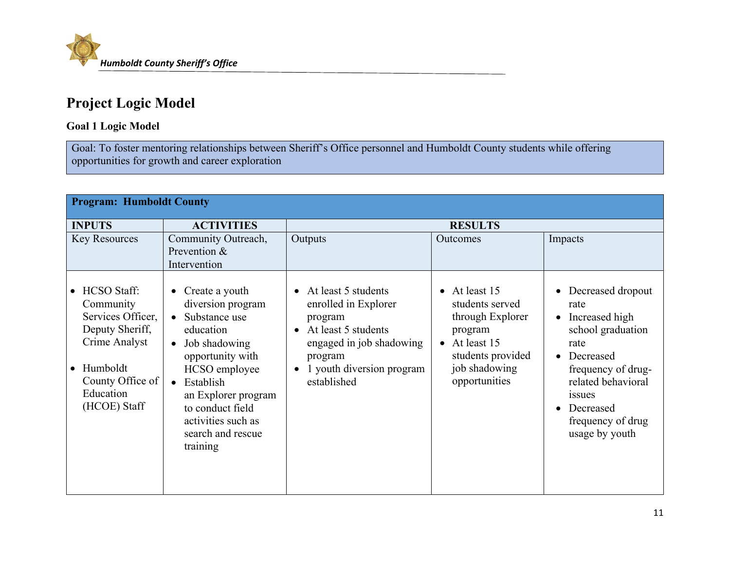

# **Project Logic Model**

#### **Goal 1 Logic Model**

Goal: To foster mentoring relationships between Sheriff's Office personnel and Humboldt County students while offering opportunities for growth and career exploration

| <b>Program: Humboldt County</b>                                                                                                                       |                                                                                                                                                                                                                                                                                            |                                                                                                                                                                                 |                                                                                                                                         |                                                                                                                                                                                                                     |
|-------------------------------------------------------------------------------------------------------------------------------------------------------|--------------------------------------------------------------------------------------------------------------------------------------------------------------------------------------------------------------------------------------------------------------------------------------------|---------------------------------------------------------------------------------------------------------------------------------------------------------------------------------|-----------------------------------------------------------------------------------------------------------------------------------------|---------------------------------------------------------------------------------------------------------------------------------------------------------------------------------------------------------------------|
| <b>INPUTS</b>                                                                                                                                         | <b>ACTIVITIES</b>                                                                                                                                                                                                                                                                          |                                                                                                                                                                                 | <b>RESULTS</b>                                                                                                                          |                                                                                                                                                                                                                     |
| <b>Key Resources</b>                                                                                                                                  | Community Outreach,<br>Prevention &<br>Intervention                                                                                                                                                                                                                                        | Outputs                                                                                                                                                                         | <b>Outcomes</b>                                                                                                                         | Impacts                                                                                                                                                                                                             |
| <b>HCSO</b> Staff:<br>Community<br>Services Officer,<br>Deputy Sheriff,<br>Crime Analyst<br>Humboldt<br>County Office of<br>Education<br>(HCOE) Staff | Create a youth<br>$\bullet$<br>diversion program<br>Substance use<br>$\bullet$<br>education<br>Job shadowing<br>$\bullet$<br>opportunity with<br>HCSO employee<br>Establish<br>$\bullet$<br>an Explorer program<br>to conduct field<br>activities such as<br>search and rescue<br>training | • At least 5 students<br>enrolled in Explorer<br>program<br>At least 5 students<br>$\bullet$<br>engaged in job shadowing<br>program<br>1 youth diversion program<br>established | • At least $15$<br>students served<br>through Explorer<br>program<br>At least 15<br>students provided<br>job shadowing<br>opportunities | Decreased dropout<br>rate<br>Increased high<br>$\bullet$<br>school graduation<br>rate<br>Decreased<br>frequency of drug-<br>related behavioral<br><i>issues</i><br>Decreased<br>frequency of drug<br>usage by youth |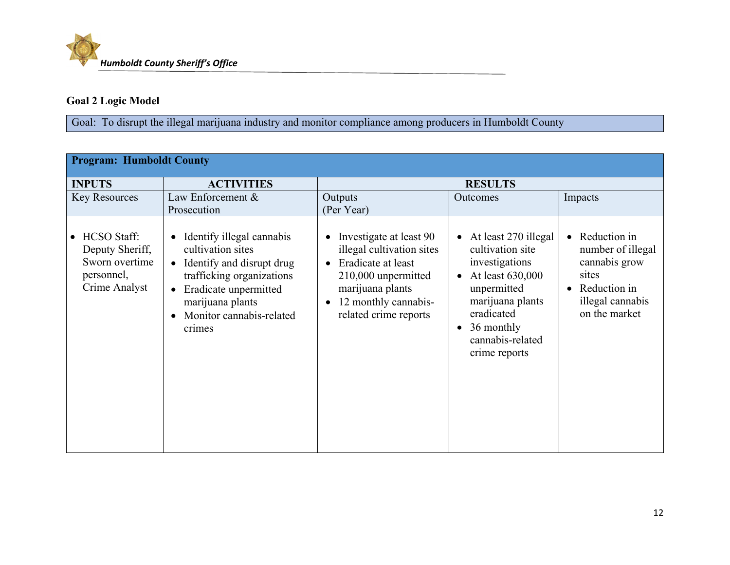

#### **Goal 2 Logic Model**

Goal: To disrupt the illegal marijuana industry and monitor compliance among producers in Humboldt County

| <b>Program: Humboldt County</b>                                                        |                                                                                                                                                                                                                                    |                                                                                                                                                                        |                                                                                                                                                                                                                           |                                                                                                                               |
|----------------------------------------------------------------------------------------|------------------------------------------------------------------------------------------------------------------------------------------------------------------------------------------------------------------------------------|------------------------------------------------------------------------------------------------------------------------------------------------------------------------|---------------------------------------------------------------------------------------------------------------------------------------------------------------------------------------------------------------------------|-------------------------------------------------------------------------------------------------------------------------------|
| <b>INPUTS</b>                                                                          | <b>ACTIVITIES</b>                                                                                                                                                                                                                  | <b>RESULTS</b>                                                                                                                                                         |                                                                                                                                                                                                                           |                                                                                                                               |
| <b>Key Resources</b>                                                                   | Law Enforcement &<br>Prosecution                                                                                                                                                                                                   | Outputs<br>(Per Year)                                                                                                                                                  | Outcomes                                                                                                                                                                                                                  | Impacts                                                                                                                       |
| <b>HCSO</b> Staff:<br>Deputy Sheriff,<br>Sworn overtime<br>personnel,<br>Crime Analyst | Identify illegal cannabis<br>$\bullet$<br>cultivation sites<br>Identify and disrupt drug<br>$\bullet$<br>trafficking organizations<br>Eradicate unpermitted<br>$\bullet$<br>marijuana plants<br>Monitor cannabis-related<br>crimes | Investigate at least 90<br>illegal cultivation sites<br>Eradicate at least<br>210,000 unpermitted<br>marijuana plants<br>12 monthly cannabis-<br>related crime reports | At least 270 illegal<br>$\bullet$<br>cultivation site<br>investigations<br>At least 630,000<br>$\bullet$<br>unpermitted<br>marijuana plants<br>eradicated<br>36 monthly<br>$\bullet$<br>cannabis-related<br>crime reports | Reduction in<br>$\bullet$<br>number of illegal<br>cannabis grow<br>sites<br>Reduction in<br>illegal cannabis<br>on the market |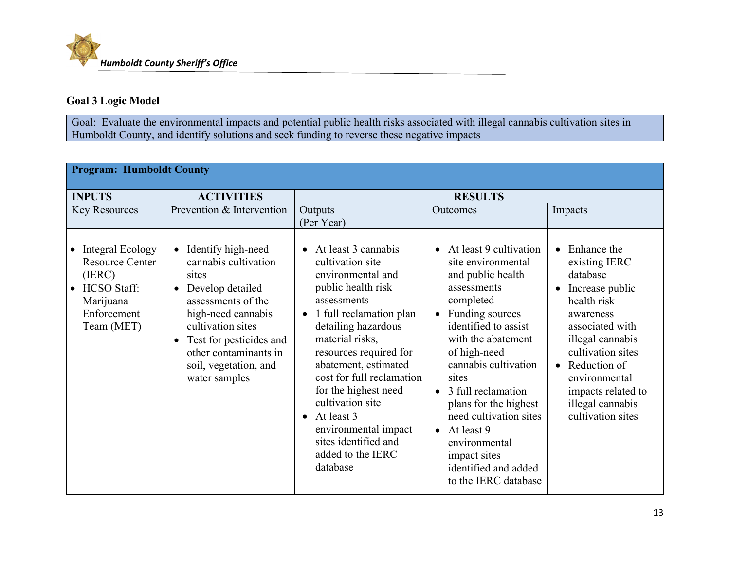#### **Goal 3 Logic Model**

Goal: Evaluate the environmental impacts and potential public health risks associated with illegal cannabis cultivation sites in Humboldt County, and identify solutions and seek funding to reverse these negative impacts

| <b>Program: Humboldt County</b>                                                                                        |                                                                                                                                                                                                                                                                  |                                                                                                                                                                                                                                                                                                                                                                                                                         |                                                                                                                                                                                                                                                                                                                                                                                                                                          |                                                                                                                                                                                                                                                                                            |  |
|------------------------------------------------------------------------------------------------------------------------|------------------------------------------------------------------------------------------------------------------------------------------------------------------------------------------------------------------------------------------------------------------|-------------------------------------------------------------------------------------------------------------------------------------------------------------------------------------------------------------------------------------------------------------------------------------------------------------------------------------------------------------------------------------------------------------------------|------------------------------------------------------------------------------------------------------------------------------------------------------------------------------------------------------------------------------------------------------------------------------------------------------------------------------------------------------------------------------------------------------------------------------------------|--------------------------------------------------------------------------------------------------------------------------------------------------------------------------------------------------------------------------------------------------------------------------------------------|--|
| <b>INPUTS</b>                                                                                                          | <b>ACTIVITIES</b>                                                                                                                                                                                                                                                | <b>RESULTS</b>                                                                                                                                                                                                                                                                                                                                                                                                          |                                                                                                                                                                                                                                                                                                                                                                                                                                          |                                                                                                                                                                                                                                                                                            |  |
| <b>Key Resources</b>                                                                                                   | Prevention & Intervention                                                                                                                                                                                                                                        | Outputs<br>(Per Year)                                                                                                                                                                                                                                                                                                                                                                                                   | Outcomes                                                                                                                                                                                                                                                                                                                                                                                                                                 | Impacts                                                                                                                                                                                                                                                                                    |  |
| • Integral Ecology<br><b>Resource Center</b><br>(IERC)<br><b>HCSO</b> Staff:<br>Marijuana<br>Enforcement<br>Team (MET) | Identify high-need<br>$\bullet$<br>cannabis cultivation<br>sites<br>Develop detailed<br>assessments of the<br>high-need cannabis<br>cultivation sites<br>Test for pesticides and<br>$\bullet$<br>other contaminants in<br>soil, vegetation, and<br>water samples | $\bullet$ At least 3 cannabis<br>cultivation site<br>environmental and<br>public health risk<br>assessments<br>1 full reclamation plan<br>$\bullet$<br>detailing hazardous<br>material risks,<br>resources required for<br>abatement, estimated<br>cost for full reclamation<br>for the highest need<br>cultivation site<br>At least 3<br>environmental impact<br>sites identified and<br>added to the IERC<br>database | At least 9 cultivation<br>$\bullet$<br>site environmental<br>and public health<br>assessments<br>completed<br>Funding sources<br>$\bullet$<br>identified to assist<br>with the abatement<br>of high-need<br>cannabis cultivation<br>sites<br>3 full reclamation<br>$\bullet$<br>plans for the highest<br>need cultivation sites<br>$\bullet$ At least 9<br>environmental<br>impact sites<br>identified and added<br>to the IERC database | Enhance the<br>$\bullet$<br>existing IERC<br>database<br>Increase public<br>$\bullet$<br>health risk<br>awareness<br>associated with<br>illegal cannabis<br>cultivation sites<br>Reduction of<br>$\bullet$<br>environmental<br>impacts related to<br>illegal cannabis<br>cultivation sites |  |